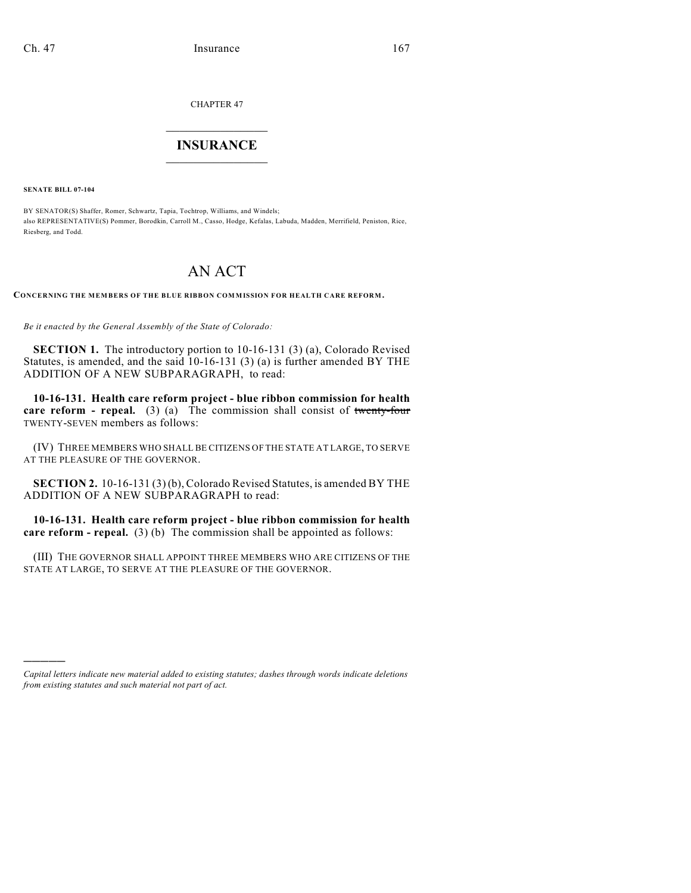CHAPTER 47

## $\overline{\phantom{a}}$  . The set of the set of the set of the set of the set of the set of the set of the set of the set of the set of the set of the set of the set of the set of the set of the set of the set of the set of the set o **INSURANCE**  $\frac{1}{2}$  ,  $\frac{1}{2}$  ,  $\frac{1}{2}$  ,  $\frac{1}{2}$  ,  $\frac{1}{2}$  ,  $\frac{1}{2}$  ,  $\frac{1}{2}$

**SENATE BILL 07-104**

)))))

BY SENATOR(S) Shaffer, Romer, Schwartz, Tapia, Tochtrop, Williams, and Windels; also REPRESENTATIVE(S) Pommer, Borodkin, Carroll M., Casso, Hodge, Kefalas, Labuda, Madden, Merrifield, Peniston, Rice, Riesberg, and Todd.

## AN ACT

**CONCERNING THE MEMBERS OF THE BLUE RIBBON COMMISSION FOR HEALTH CARE REFORM.**

*Be it enacted by the General Assembly of the State of Colorado:*

**SECTION 1.** The introductory portion to 10-16-131 (3) (a), Colorado Revised Statutes, is amended, and the said 10-16-131 (3) (a) is further amended BY THE ADDITION OF A NEW SUBPARAGRAPH, to read:

**10-16-131. Health care reform project - blue ribbon commission for health care reform - repeal.** (3) (a) The commission shall consist of twenty-four TWENTY-SEVEN members as follows:

(IV) THREE MEMBERS WHO SHALL BE CITIZENS OF THE STATE AT LARGE, TO SERVE AT THE PLEASURE OF THE GOVERNOR.

**SECTION 2.** 10-16-131 (3) (b), Colorado Revised Statutes, is amended BY THE ADDITION OF A NEW SUBPARAGRAPH to read:

**10-16-131. Health care reform project - blue ribbon commission for health care reform - repeal.** (3) (b) The commission shall be appointed as follows:

(III) THE GOVERNOR SHALL APPOINT THREE MEMBERS WHO ARE CITIZENS OF THE STATE AT LARGE, TO SERVE AT THE PLEASURE OF THE GOVERNOR.

*Capital letters indicate new material added to existing statutes; dashes through words indicate deletions from existing statutes and such material not part of act.*